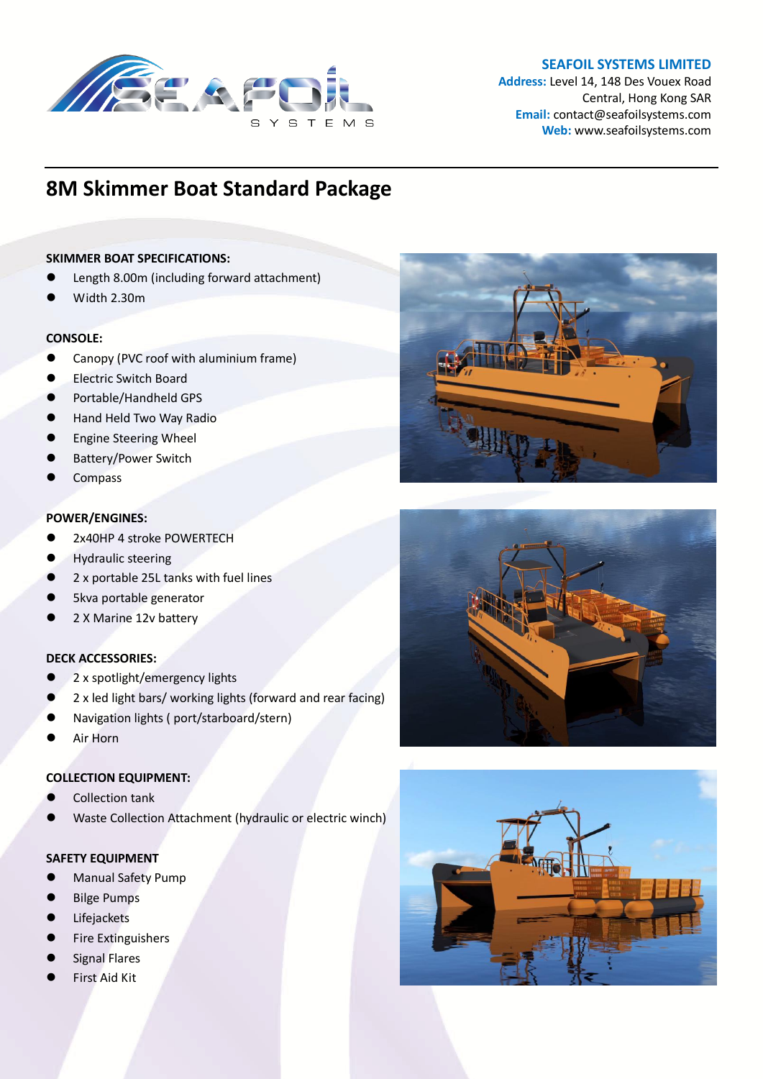

# **SEAFOIL SYSTEMS LIMITED**

**Address:** Level 14, 148 Des Vouex Road Central, Hong Kong SAR **Email:** contact@seafoilsystems.com **Web:** www.seafoilsystems.com

# **8M Skimmer Boat Standard Package**

## **SKIMMER BOAT SPECIFICATIONS:**

- Length 8.00m (including forward attachment)
- Width 2.30m

## **CONSOLE:**

- Canopy (PVC roof with aluminium frame)
- Electric Switch Board
- Portable/Handheld GPS
- Hand Held Two Way Radio
- Engine Steering Wheel
- Battery/Power Switch
- **Compass**

## **POWER/ENGINES:**

- 2x40HP 4 stroke POWERTECH
- Hydraulic steering
- 2 x portable 25L tanks with fuel lines
- 5kva portable generator
- 2 X Marine 12v battery

#### **DECK ACCESSORIES:**

- 2 x spotlight/emergency lights
- 2 x led light bars/ working lights (forward and rear facing)
- Navigation lights ( port/starboard/stern)
- Air Horn

#### **COLLECTION EQUIPMENT:**

- Collection tank
- Waste Collection Attachment (hydraulic or electric winch)

# **SAFETY EQUIPMENT**

- Manual Safety Pump
- Bilge Pumps
- Lifejackets
- Fire Extinguishers
- Signal Flares
- First Aid Kit